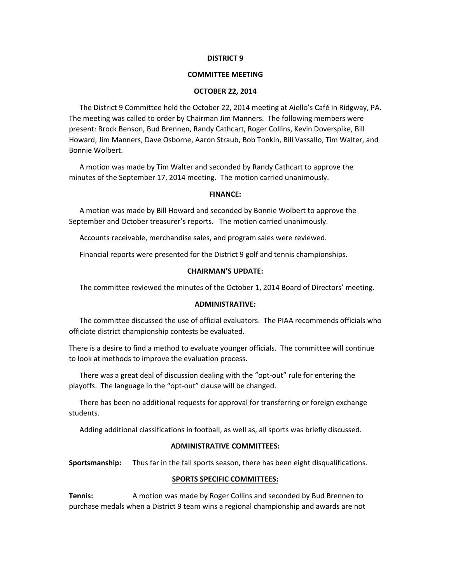#### **DISTRICT 9**

# **COMMITTEE MEETING**

### **OCTOBER 22, 2014**

The District 9 Committee held the October 22, 2014 meeting at Aiello's Café in Ridgway, PA. The meeting was called to order by Chairman Jim Manners. The following members were present: Brock Benson, Bud Brennen, Randy Cathcart, Roger Collins, Kevin Doverspike, Bill Howard, Jim Manners, Dave Osborne, Aaron Straub, Bob Tonkin, Bill Vassallo, Tim Walter, and Bonnie Wolbert.

A motion was made by Tim Walter and seconded by Randy Cathcart to approve the minutes of the September 17, 2014 meeting. The motion carried unanimously.

## **FINANCE:**

A motion was made by Bill Howard and seconded by Bonnie Wolbert to approve the September and October treasurer's reports. The motion carried unanimously.

Accounts receivable, merchandise sales, and program sales were reviewed.

Financial reports were presented for the District 9 golf and tennis championships.

#### **CHAIRMAN'S UPDATE:**

The committee reviewed the minutes of the October 1, 2014 Board of Directors' meeting.

#### **ADMINISTRATIVE:**

The committee discussed the use of official evaluators. The PIAA recommends officials who officiate district championship contests be evaluated.

There is a desire to find a method to evaluate younger officials. The committee will continue to look at methods to improve the evaluation process.

There was a great deal of discussion dealing with the "opt-out" rule for entering the playoffs. The language in the "opt‐out" clause will be changed.

There has been no additional requests for approval for transferring or foreign exchange students.

Adding additional classifications in football, as well as, all sports was briefly discussed.

#### **ADMINISTRATIVE COMMITTEES:**

**Sportsmanship:** Thus far in the fall sports season, there has been eight disqualifications.

# **SPORTS SPECIFIC COMMITTEES:**

**Tennis:** A motion was made by Roger Collins and seconded by Bud Brennen to purchase medals when a District 9 team wins a regional championship and awards are not